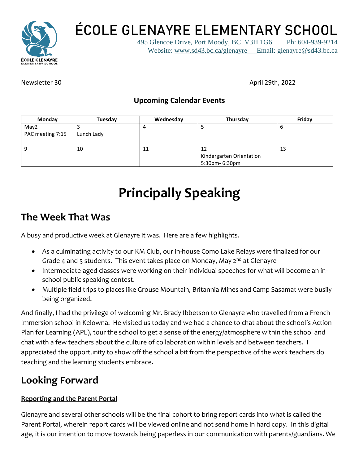

**ÉCOLE GLENAYRE ELEMENTARY SCHOOL**

495 Glencoe Drive, Port Moody, BC V3H 1G6 Ph: 604-939-9214 Website: [www.sd43.bc.ca/glenayre](http://www.sd43.bc.ca/glenayre) Email: glenayre@sd43.bc.ca

Newsletter 30 April 29th, 2022

#### **Upcoming Calendar Events**

| Monday           | Tuesday    | Wednesday | Thursday                 | Friday |
|------------------|------------|-----------|--------------------------|--------|
| May2             |            |           |                          | O      |
| PAC meeting 7:15 | Lunch Lady |           |                          |        |
|                  | 10         | 11        | 12                       | 13     |
|                  |            |           | Kindergarten Orientation |        |
|                  |            |           | 5:30pm- 6:30pm           |        |

# **Principally Speaking**

# **The Week That Was**

A busy and productive week at Glenayre it was. Here are a few highlights.

- As a culminating activity to our KM Club, our in-house Como Lake Relays were finalized for our Grade 4 and 5 students. This event takes place on Monday, May  $2^{nd}$  at Glenayre
- Intermediate-aged classes were working on their individual speeches for what will become an inschool public speaking contest.
- Multiple field trips to places like Grouse Mountain, Britannia Mines and Camp Sasamat were busily being organized.

And finally, I had the privilege of welcoming Mr. Brady Ibbetson to Glenayre who travelled from a French Immersion school in Kelowna. He visited us today and we had a chance to chat about the school's Action Plan for Learning (APL), tour the school to get a sense of the energy/atmosphere within the school and chat with a few teachers about the culture of collaboration within levels and between teachers. I appreciated the opportunity to show off the school a bit from the perspective of the work teachers do teaching and the learning students embrace.

# **Looking Forward**

#### **Reporting and the Parent Portal**

Glenayre and several other schools will be the final cohort to bring report cards into what is called the Parent Portal, wherein report cards will be viewed online and not send home in hard copy. In this digital age, it is our intention to move towards being paperless in our communication with parents/guardians. We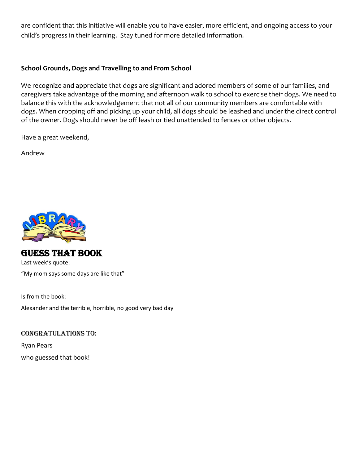are confident that this initiative will enable you to have easier, more efficient, and ongoing access to your child's progress in their learning. Stay tuned for more detailed information.

#### **School Grounds, Dogs and Travelling to and From School**

We recognize and appreciate that dogs are significant and adored members of some of our families, and caregivers take advantage of the morning and afternoon walk to school to exercise their dogs. We need to balance this with the acknowledgement that not all of our community members are comfortable with dogs. When dropping off and picking up your child, all dogs should be leashed and under the direct control of the owner. Dogs should never be off leash or tied unattended to fences or other objects.

Have a great weekend,

Andrew



#### GUESS THAT BOOK Last week's quote: "My mom says some days are like that"

Is from the book:

Alexander and the terrible, horrible, no good very bad day

Congratulations to: Ryan Pears who guessed that book!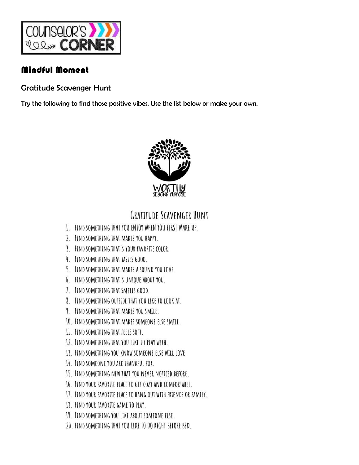

## Mindful Moment

**Gratitude Scavenger Hunt** 

Try the following to find those positive vibes. Use the list below or make your own.



# **GRATITUDE SCAVENGER HUNT**

- 1. FIND SOMETHING THAT YOU ENTOY WHEN YOU FIRST WAKE UP.
- 2. FIND SOMETHING THAT MAKES YOU HAPPY.
- 3. FIND SOMETHING THAT'S YOUR FAVORITE COLOR.
- 4. FIND SOMETHING THAT TASTES GOOD.
- 5. FIND SOMETHING THAT MAKES A SOUND YOU LOVE.
- 6. FIND SOMETHING THAT'S UNIQUE ABOUT YOU.
- 7. FIND SOMETHING THAT SMELLS GOOD.
- 8. FIND SOMETHING OUTSIDE THAT YOU LIKE TO LOOK AT.
- 9. FIND SOMETHING THAT MAKES YOU SMILE.
- 10. FIND SOMETHING THAT MAKES SOMEONE ELSE SMILE.
- 11. FIND SOMETHING THAT FEELS SOFT.
- 12. FIND SOMETHING THAT YOU LIKE TO PLAY WITH.
- 13. FIND SOMETHING YOU KNOW SOMEONE ELSE WILL LOVE.
- 14. FIND SOMEONE YOU ARE THANKFUL FOR.
- 15. FIND SOMETHING NEW THAT YOU NEVER NOTICED BEFORE.
- 16. FIND YOUR FAVORITE PLACE TO GET COZY AND COMFORTABLE.
- 17. FIND YOUR FAVORITE PLACE TO HANG OUT WITH FRIENDS OR FAMILY.
- 18. FIND YOUR FAVORITE GAME TO PLAY.
- 19. FIND SOMETHING YOU LIKE ABOUT SOMEONE ELSE.
- 20. FIND SOMETHING THAT YOU LIKE TO DO RIGHT BEFORE BED.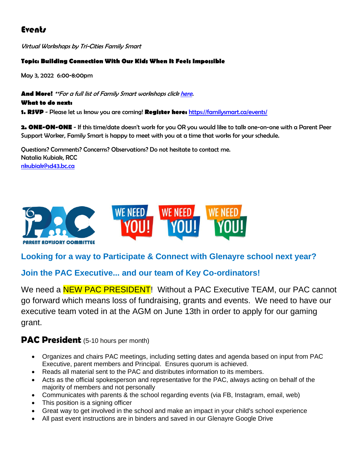# **Events**

Virtual Workshops by Tri-Cities Family Smart

#### **Topic: Building Connection With Our Kids When It Feels Impossible**

May 3, 2022 6:00-8:00pm

**And More!** \*\*For a full list of Family Smart workshops clic[k here.](https://familysmart.ca/events/?utm_source=FamilySmart+Primary+List&utm_campaign=a843921067-EMAIL_CAMPAIGN_2022_04_25_02_17&utm_medium=email&utm_term=0_6c9ba9ce41-a843921067-522412503)

**What to do next:**

**1. RSVP** - Please let us know you are coming! **Register here:** <https://familysmart.ca/events/>

**2. ONE-ON-ONE** - If this time/date doesn't work for you OR you would like to talk one-on-one with a Parent Peer Support Worker, Family Smart is happy to meet with you at a time that works for your schedule.

Questions? Comments? Concerns? Observations? Do not hesitate to contact me. Natalia Kubiak, RCC [nkubiak@sd43.bc.ca](mailto:nkubiak@sd43.bc.ca)



#### **Looking for a way to Participate & Connect with Glenayre school next year?**

#### **Join the PAC Executive... and our team of Key Co-ordinators!**

We need a **NEW PAC PRESIDENT!** Without a PAC Executive TEAM, our PAC cannot go forward which means loss of fundraising, grants and events. We need to have our executive team voted in at the AGM on June 13th in order to apply for our gaming grant.

#### **PAC President** (5-10 hours per month)

- Organizes and chairs PAC meetings, including setting dates and agenda based on input from PAC Executive, parent members and Principal. Ensures quorum is achieved.
- Reads all material sent to the PAC and distributes information to its members.
- Acts as the official spokesperson and representative for the PAC, always acting on behalf of the majority of members and not personally
- Communicates with parents & the school regarding events (via FB, Instagram, email, web)
- This position is a signing officer
- Great way to get involved in the school and make an impact in your child's school experience
- All past event instructions are in binders and saved in our Glenayre Google Drive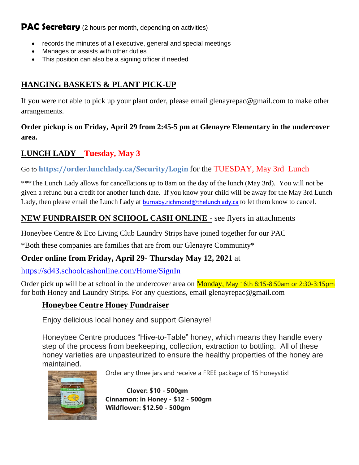#### **PAC Secretary** (2 hours per month, depending on activities)

- records the minutes of all executive, general and special meetings
- Manages or assists with other duties
- This position can also be a signing officer if needed

## **HANGING BASKETS & PLANT PICK-UP**

If you were not able to pick up your plant order, please email glenayrepac@gmail.com to make other arrangements.

#### **Order pickup is on Friday, April 29 from 2:45-5 pm at Glenayre Elementary in the undercover area.**

### **LUNCH LADY Tuesday, May 3**

#### Go to **<https://order.lunchlady.ca/Security/Login>** for the TUESDAY, May 3rd Lunch

\*\*\*The Lunch Lady allows for cancellations up to 8am on the day of the lunch (May 3rd). You will not be given a refund but a credit for another lunch date. If you know your child will be away for the May 3rd Lunch Lady, then please email the Lunch Lady at [burnaby.richmond@thelunchlady.ca](mailto:burnaby.richmond@thelunchlady.ca) to let them know to cancel.

### **NEW FUNDRAISER ON SCHOOL CASH ONLINE -** see flyers in attachments

Honeybee Centre & Eco Living Club Laundry Strips have joined together for our PAC

\*Both these companies are families that are from our Glenayre Community\*

#### **Order online from Friday, April 29- Thursday May 12, 2021** at

<https://sd43.schoolcashonline.com/Home/SignIn>

Order pick up will be at school in the undercover area on **Monday**, May 16th 8:15-8:50am or 2:30-3:15pm for both Honey and Laundry Strips. For any questions, email glenayrepac@gmail.com

#### **Honeybee Centre Honey Fundraiser**

Enjoy delicious local honey and support Glenayre!

Honeybee Centre produces "Hive-to-Table" honey, which means they handle every step of the process from beekeeping, collection, extraction to bottling. All of these honey varieties are unpasteurized to ensure the healthy properties of the honey are maintained.



Order any three jars and receive a FREE package of 15 honeystix!

**Clover: \$10 - 500gm Cinnamon: in Honey - \$12 - 500gm Wildflower: \$12.50 - 500gm**